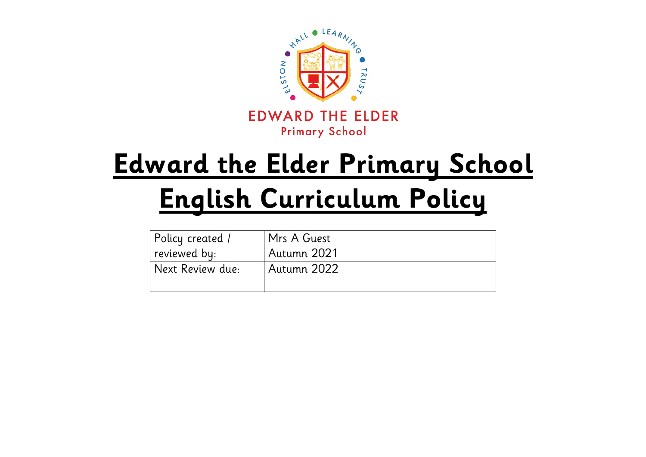

# **Edward the Elder Primary School**

# **English Curriculum Policy**

| Policy created / | Mrs A Guest |
|------------------|-------------|
| reviewed by:     | Autumn 2021 |
| Next Review due: | Autumn 2022 |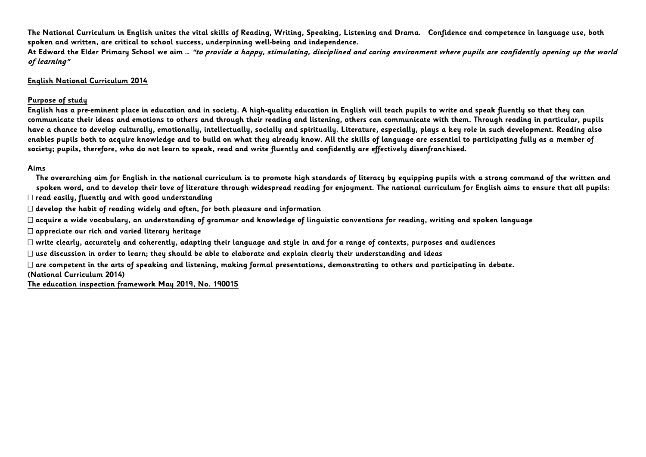The National Curriculum in English unites the vital skills of Reading, Writing, Speaking, Listening and Drama. Confidence and competence in language use, both **spoken and written, are critical to school success, underpinning well-being and independence.** 

At Edward the Elder Primary School we aim ... "to provide a happy, stimulating, disciplined and caring environment where pupils are confidently opening up the world **of learning"**

#### **English National Curriculum 2014**

#### **Purpose of study**

**English has a pre-eminent place in education and in society. A high-quality education in English will teach pupils to write and speak fluently so that they can communicate their ideas and emotions to others and through their reading and listening, others can communicate with them. Through reading in particular, pupils have a chance to develop culturally, emotionally, intellectually, socially and spiritually. Literature, especially, plays a key role in such development. Reading also enables pupils both to acquire knowledge and to build on what they already know. All the skills of language are essential to participating fully as a member of society; pupils, therefore, who do not learn to speak, read and write fluently and confidently are effectively disenfranchised.** 

### **Aims**

**The overarching aim for English in the national curriculum is to promote high standards of literacy by equipping pupils with a strong command of the written and spoken word, and to develop their love of literature through widespread reading for enjoyment. The national curriculum for English aims to ensure that all pupils: read easily, fluently and with good understanding** 

**develop the habit of reading widely and often, for both pleasure and information** 

**acquire a wide vocabulary, an understanding of grammar and knowledge of linguistic conventions for reading, writing and spoken language** 

**appreciate our rich and varied literary heritage** 

**write clearly, accurately and coherently, adapting their language and style in and for a range of contexts, purposes and audiences** 

**use discussion in order to learn; they should be able to elaborate and explain clearly their understanding and ideas** 

**are competent in the arts of speaking and listening, making formal presentations, demonstrating to others and participating in debate. (National Curriculum 2014)**

**The education inspection framework May 2019, No. 190015**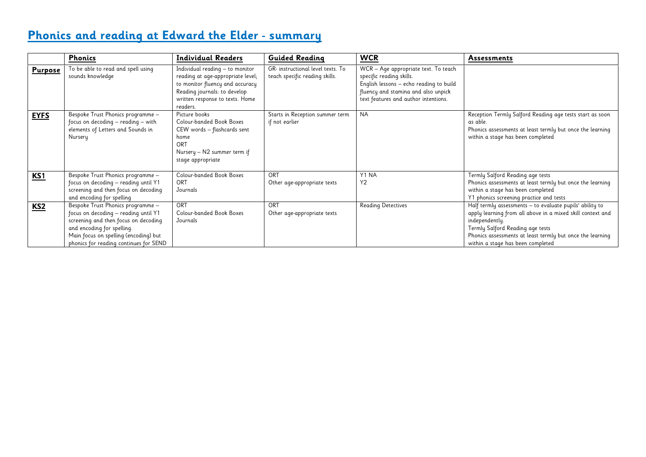# **Phonics and reading at Edward the Elder - summary**

|                 | <b>Phonics</b>                                                                                                                                                                                                                     | <b>Individual Readers</b>                                                                                                                                                              | <b>Guided Reading</b>                                               | <b>WCR</b>                                                                                                                                                                                 | <b>Assessments</b>                                                                                                                                                                                                                                                             |
|-----------------|------------------------------------------------------------------------------------------------------------------------------------------------------------------------------------------------------------------------------------|----------------------------------------------------------------------------------------------------------------------------------------------------------------------------------------|---------------------------------------------------------------------|--------------------------------------------------------------------------------------------------------------------------------------------------------------------------------------------|--------------------------------------------------------------------------------------------------------------------------------------------------------------------------------------------------------------------------------------------------------------------------------|
| <b>Purpose</b>  | To be able to read and spell using<br>sounds knowledge                                                                                                                                                                             | Individual reading — to monitor<br>reading at age-appropriate level;<br>to monitor fluency and accuracy<br>Reading journals: to develop<br>written response to texts. Home<br>readers. | GR- instructional level texts. To<br>teach specific reading skills. | WCR - Age appropriate text. To teach<br>specific reading skills.<br>English lessons - echo reading to build<br>fluency and stamina and also unpick<br>text features and author intentions. |                                                                                                                                                                                                                                                                                |
| <b>EYFS</b>     | Bespoke Trust Phonics programme -<br>focus on decoding – reading – with<br>elements of Letters and Sounds in<br>Nursery                                                                                                            | Picture books<br>Colour-banded Book Boxes<br>CEW words - flashcards sent<br>home<br>ORT<br>Nursery - N2 summer term if<br>stage appropriate                                            | Starts in Reception summer term<br>if not earlier                   | <b>NA</b>                                                                                                                                                                                  | Reception Termly Salford Reading age tests start as soon<br>as able.<br>Phonics assessments at least termly but once the learning<br>within a stage has been completed                                                                                                         |
| <b>KS1</b>      | Bespoke Trust Phonics programme -<br>focus on decoding - reading until Y1<br>screening and then focus on decoding<br>and encoding for spelling                                                                                     | Colour-banded Book Boxes<br>ORT<br>Journals                                                                                                                                            | ORT<br>Other age-appropriate texts                                  | Y1 NA<br>Υ2                                                                                                                                                                                | Termly Salford Reading age tests<br>Phonics assessments at least termly but once the learning<br>within a stage has been completed<br>Y1 phonics screening practice and tests                                                                                                  |
| KS <sub>2</sub> | Bespoke Trust Phonics programme -<br>focus on decoding - reading until Y1<br>screening and then focus on decoding<br>and encoding for spelling.<br>Main focus on spelling (encoding) but<br>phonics for reading continues for SEND | ORT<br>Colour-banded Book Boxes<br>Journals                                                                                                                                            | ORT<br>Other age-appropriate texts                                  | <b>Reading Detectives</b>                                                                                                                                                                  | Half termly assessments - to evaluate pupils' ability to<br>apply learning from all above in a mixed skill context and<br>independently.<br>Termly Salford Reading age tests<br>Phonics assessments at least termly but once the learning<br>within a stage has been completed |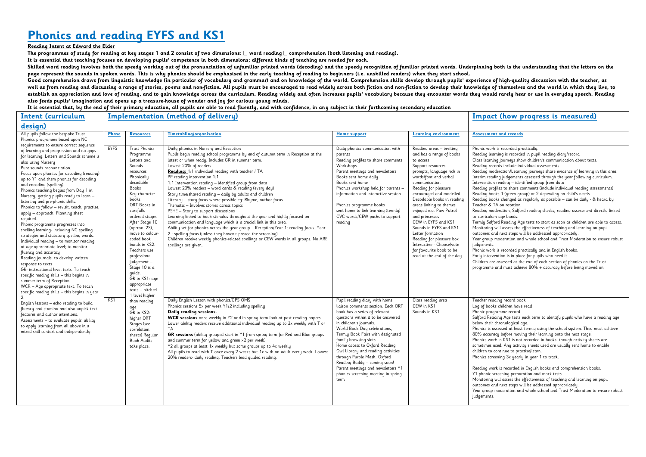### **Phonics and reading EYFS and KS1**

#### **Reading Intent at Edward the Elder**

The programmes of study for reading at key stages 1 and 2 consist of two dimensions:  $\Box$  word reading  $\Box$  comprehension (both listening and reading).

**It is essential that teaching focuses on developing pupils' competence in both dimensions; different kinds of teaching are needed for each.** 

Skilled word reading involves both the speedy working out of the pronunciation of unfamiliar printed words (decoding) and the speedy recognition of familiar printed words. Underpinning both is the understanding that the le **page represent the sounds in spoken words. This is why phonics should be emphasised in the early teaching of reading to beginners (i.e. unskilled readers) when they start school.** 

Good comprehension draws from linguistic knowledge (in particular of vocabulary and grammar) and on knowledge of the world. Comprehension skills develop through pupils' experience of high-quality discussion with the teache well as from reading and discussing a range of stories, poems and non-fiction. All pupils must be encouraged to read widely across both fiction and non-fiction to develop their knowledge of themselves and the world in whic establish an appreciation and love of reading, and to gain knowledge across the curriculum. Reading widely and often increases pupils' vocabulary because they encounter words they would rarely hear or use in everyday speec **also feeds pupils' imagination and opens up a treasure-house of wonder and joy for curious young minds.** 

**It is essential that, by the end of their primary education, all pupils are able to read fluently, and with confidence, in any subject in their forthcoming secondary education**

| <b>Intent (curriculum</b>                                                                                                                                                                                                                                                                                                                                                                                                                                                                                                                                                                                                                                                                                                                                                                                                                                                                                                                                                                          |              |                                                                                                                                                                                                                                                                                                                                                                                                                                 | <b>Implementation (method of delivery)</b>                                                                                                                                                                                                                                                                                                                                                                                                                                                                                                                                                                                                                                                                                                                                                                                                                                                                                                                                                                                                                  |                                                                                                                                                                                                                                                                                                                                                                                                                                                                                                 | <b>Impact (how progress is measured)</b>                                                                                                                                                                                                                                                                                                                                                                                                                                                                          |                                                                                                                                                                                                                                                                                                                                                                                                                                                                                                                                                                                                                                                                                                                                                                                                                                                                                                                                                                                                                                                                                                                                                                                                                                                                                                                                                                                                                              |
|----------------------------------------------------------------------------------------------------------------------------------------------------------------------------------------------------------------------------------------------------------------------------------------------------------------------------------------------------------------------------------------------------------------------------------------------------------------------------------------------------------------------------------------------------------------------------------------------------------------------------------------------------------------------------------------------------------------------------------------------------------------------------------------------------------------------------------------------------------------------------------------------------------------------------------------------------------------------------------------------------|--------------|---------------------------------------------------------------------------------------------------------------------------------------------------------------------------------------------------------------------------------------------------------------------------------------------------------------------------------------------------------------------------------------------------------------------------------|-------------------------------------------------------------------------------------------------------------------------------------------------------------------------------------------------------------------------------------------------------------------------------------------------------------------------------------------------------------------------------------------------------------------------------------------------------------------------------------------------------------------------------------------------------------------------------------------------------------------------------------------------------------------------------------------------------------------------------------------------------------------------------------------------------------------------------------------------------------------------------------------------------------------------------------------------------------------------------------------------------------------------------------------------------------|-------------------------------------------------------------------------------------------------------------------------------------------------------------------------------------------------------------------------------------------------------------------------------------------------------------------------------------------------------------------------------------------------------------------------------------------------------------------------------------------------|-------------------------------------------------------------------------------------------------------------------------------------------------------------------------------------------------------------------------------------------------------------------------------------------------------------------------------------------------------------------------------------------------------------------------------------------------------------------------------------------------------------------|------------------------------------------------------------------------------------------------------------------------------------------------------------------------------------------------------------------------------------------------------------------------------------------------------------------------------------------------------------------------------------------------------------------------------------------------------------------------------------------------------------------------------------------------------------------------------------------------------------------------------------------------------------------------------------------------------------------------------------------------------------------------------------------------------------------------------------------------------------------------------------------------------------------------------------------------------------------------------------------------------------------------------------------------------------------------------------------------------------------------------------------------------------------------------------------------------------------------------------------------------------------------------------------------------------------------------------------------------------------------------------------------------------------------------|
| design)                                                                                                                                                                                                                                                                                                                                                                                                                                                                                                                                                                                                                                                                                                                                                                                                                                                                                                                                                                                            |              |                                                                                                                                                                                                                                                                                                                                                                                                                                 |                                                                                                                                                                                                                                                                                                                                                                                                                                                                                                                                                                                                                                                                                                                                                                                                                                                                                                                                                                                                                                                             |                                                                                                                                                                                                                                                                                                                                                                                                                                                                                                 |                                                                                                                                                                                                                                                                                                                                                                                                                                                                                                                   |                                                                                                                                                                                                                                                                                                                                                                                                                                                                                                                                                                                                                                                                                                                                                                                                                                                                                                                                                                                                                                                                                                                                                                                                                                                                                                                                                                                                                              |
| All pupils follow the bespoke Trust<br>Phonics programme based upon NC                                                                                                                                                                                                                                                                                                                                                                                                                                                                                                                                                                                                                                                                                                                                                                                                                                                                                                                             | <b>Phase</b> | <b>Resources</b>                                                                                                                                                                                                                                                                                                                                                                                                                | <b>Timetabling/organisation</b>                                                                                                                                                                                                                                                                                                                                                                                                                                                                                                                                                                                                                                                                                                                                                                                                                                                                                                                                                                                                                             | <b>Home support</b>                                                                                                                                                                                                                                                                                                                                                                                                                                                                             | Learning environment                                                                                                                                                                                                                                                                                                                                                                                                                                                                                              | <b>Assessment and records</b>                                                                                                                                                                                                                                                                                                                                                                                                                                                                                                                                                                                                                                                                                                                                                                                                                                                                                                                                                                                                                                                                                                                                                                                                                                                                                                                                                                                                |
| requirements to ensure correct sequence<br>of learning and progression and no gaps<br>for learning. Letters and Sounds scheme is<br>also using Nursery<br>Pure sounds pronunciation.<br>Focus upon phonics for decoding (reading)<br>up to Y1 and them phonics for decoding<br>and encoding (spelling).<br>Phonics teaching begins from Day 1 in<br>Nursery, getting pupils ready to learn -<br>listening and pre-phonic skills.<br>Phonics to follow - revisit, teach, practise,<br>apply - approach. Planning sheet<br>required.<br>Phonic programme progresses into<br>spelling learning- including NC spelling<br>strategies and statutory spelling words.<br>Individual reading - to monitor reading<br>at age-appropriate level; to monitor<br>fluency and accuracy<br>Reading journals: to develop written<br>response to texts<br>GR- instructional level texts. To teach<br>specific reading skills - this begins in<br>summer term of Reception.<br>WCR - Age appropriate text. To teach | <b>FYFS</b>  | <b>Trust Phonics</b><br>Programme<br>Letters and<br>Sounds<br>resources<br>Phonically<br>decodable<br><b>Books</b><br>Key character<br>books<br>ORT Books in<br>carefully<br>ordered stages<br>After Stage 10<br>(aprrox 2S),<br>move to colour-<br>coded book<br>bands in KS2.<br>Teachers use<br>professional<br>judgement -<br>Stage 10 is a<br>quide.<br>GR in KS1: age<br>appropriate<br>texts - pitched<br>1 level higher | Daily phonics in Nursery and Reception<br>Pupils begin reading school programme by end of autumn term in Reception at the<br>latest or when ready. Includes GR in summer term.<br>Lowest 20% of readers<br>Reading: 1:1 individual reading with teacher / TA<br>PP reading intervention 1:1<br>1:1 Intervention reading - identified group from data<br>Lowest 20% readers - word cards & reading (every day)<br>Story time/shared reading - daily by adults and children<br>Literacy - story focus where possible eq: Rhyme, author focus<br>Thematic - Involves stories across topics<br>PSHE - Story to support discussions<br>Learning linked to book stimulus throughout the year and highly focused on<br>communication and language which is a crucial link in this area.<br>Ability set for phonics across the year group - Reception/Year 1: reading focus -Year<br>2 : spelling focus (unless they haven't passed the screening).<br>Children receive weekly phonics-related spellings or CEW words in all groups. No ARE<br>spellings are given. | Daily phonics communication with<br>parents<br>Reading profiles to share comments<br>Workshops.<br>Parent meetings and newsletters<br>Books sent home daily<br>Books sent home<br>Phonics workshop held for parents -<br>information and interactive session<br>Phonics programme books<br>sent home to link learning (termly)<br>CVC words/CEW packs to support<br>readina                                                                                                                     | Reading areas - inviting<br>and has a range of books<br>to access<br>Support resources,<br>prompts, language rich in<br>words/font and verbal<br>communication<br>Reading for pleasure<br>encouraged and modelled<br>Decodable books in reading<br>areas linking to themes<br>enjoyed e.g. Paw Patrol<br>and princesses<br>CEW in EYFS and KS1<br>Sounds in EYFS and KS1.<br>Letter formation<br>Reading for pleasure box<br>Interactive - Choose/vote<br>for favourite book to be<br>read at the end of the day. | Phonic work is recorded practically.<br>Reading learning is recorded in pupil reading diary/record<br>Class learning journeys show children's communication about texts.<br>Reading records include individual assessments.<br>Reading moderation/Learning journeys share evidence of learning in this area.<br>Interim reading judgements assessed through the year following curriculum.<br>Intervention reading - identified group from data<br>Reading profiles to share comments (include individual reading assessments)<br>Reading books 1 (green group) or 2 depending on child's needs<br>Reading books changed as regularly as possible - can be daily - & heard by<br>Teacher & TA on rotation<br>Reading moderation, Salford reading checks, reading assessment directly linked<br>to curriculum age bands.<br>Termly Salford Reading Age tests to start as soon as children are able to access.<br>Monitoring will assess the effectiveness of teaching and learning on pupil<br>outcomes and next steps will be addressed appropriately.<br>Year group moderation and whole school and Trust Moderation to ensure robust<br>judgements.<br>Phonic work is recorded practically and in English books.<br>Early intervention is in place for pupils who need it.<br>Children are assessed at the end of each section of phonics on the Trust<br>programme and must achieve 80% + accuracy before being moved on. |
| English lessons - echo reading to build<br>fluency and stamina and also unpick text<br>features and author intentions.<br>Assessments - to evaluate pupils' ability<br>to apply learning from all above in a<br>mixed skill context and independently.                                                                                                                                                                                                                                                                                                                                                                                                                                                                                                                                                                                                                                                                                                                                             | KS1          | than reading<br>age<br>GR in KS2:<br>higher ORT<br>Stages (see<br>correlation<br>sheets) Regular<br><b>Book Audits</b><br>take place.                                                                                                                                                                                                                                                                                           | Daily English Lesson with phonics/GPS OMS<br>Phonics sessions 5x per week Y1/2 including spelling<br>Daily reading sessions.<br>WCR sessions once weekly in Y2 and in spring term look at past reading papers.<br>Lower ability readers receive additional individual reading up to 3x weekly with T or<br><b>TA</b><br>GR sessions (ability grouped start in Y1 from spring term for Red and Blue groups<br>and summer term for yellow and green x2 per week)<br>Y2 all groups at least 1x weekly but some groups up to 4x weekly<br>All pupils to read with T once every 2 weeks but 1x with an adult every week. Lowest<br>20% readers- daily reading. Teachers lead quided reading.                                                                                                                                                                                                                                                                                                                                                                     | Pupil reading diary with home<br>liaison comments section. Each ORT<br>book has a series of relevant<br>questions within it to be answered<br>in children's journals.<br>World Book Day celebrations,<br>Termly Book Fairs with designated<br>family browsing slots.<br>Home access to Oxford Reading<br>Owl Library and reading activities<br>through Purple Mash. Oxford<br>Reading Buddy - coming soon!<br>Parent meetings and newsletters Y1<br>phonics screening meeting in spring<br>term | Class reading area<br>CEW in KS1<br>Sounds in KS1                                                                                                                                                                                                                                                                                                                                                                                                                                                                 | Teacher reading record book<br>Log of books children have read<br>Phonic programme record<br>Salford Reading Age tests each term to identify pupils who have a reading age<br>below their chronological age.<br>Phonics is assessed at least termly using the school system. They must achieve<br>80% accuracy before moving their learning onto the next stage.<br>Phonics work in KS1 is not recorded in books, though activity sheets are<br>sometimes used. Any activity sheets used are usually sent home to enable<br>children to continue to practise/learn.<br>Phonics screening 3x yearly in year 1 to track.<br>Reading work is recorded in English books and comprehension books.<br>Y1 phonic screening preparation and mock tests<br>Monitoring will assess the effectiveness of teaching and learning on pupil<br>outcomes and next steps will be addressed appropriately.<br>Year group moderation and whole school and Trust Moderation to ensure robust<br>judgements.                                                                                                                                                                                                                                                                                                                                                                                                                                      |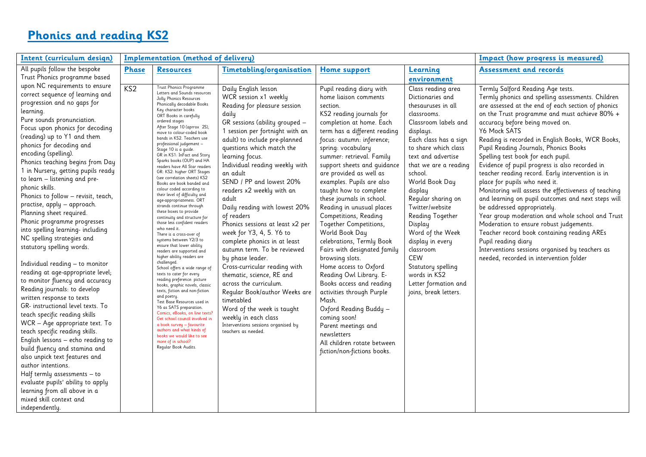## **Phonics and reading KS2**

| Intent (curriculum design)                                                                                                                                                                                                                                                                                                                                                                                                                                                                                                                                                                                                                                                                                                                                                                                                                                                                                                                                                                                                                                                                                                                                                                                                          |                  | Implementation (method of delivery)                                                                                                                                                                                                                                                                                                                                                                                                                                                                                                                                                                                                                                                                                                                                                                                                                                                                                                                                                                                                                                                                                                                                                                                                                                                                                                                                               | Impact (how progress is measured)                                                                                                                                                                                                                                                                                                                                                                                                                                                                                                                                                                                                                                                                                                                                                                                         |                                                                                                                                                                                                                                                                                                                                                                                                                                                                                                                                                                                                                                                                                                                                                                                                                                           |                                                                                                                                                                                                                                                                                                                                                                                                                                                                                            |                                                                                                                                                                                                                                                                                                                                                                                                                                                                                                                                                                                                                                                                                                                                                                                                                                                                                                                                            |
|-------------------------------------------------------------------------------------------------------------------------------------------------------------------------------------------------------------------------------------------------------------------------------------------------------------------------------------------------------------------------------------------------------------------------------------------------------------------------------------------------------------------------------------------------------------------------------------------------------------------------------------------------------------------------------------------------------------------------------------------------------------------------------------------------------------------------------------------------------------------------------------------------------------------------------------------------------------------------------------------------------------------------------------------------------------------------------------------------------------------------------------------------------------------------------------------------------------------------------------|------------------|-----------------------------------------------------------------------------------------------------------------------------------------------------------------------------------------------------------------------------------------------------------------------------------------------------------------------------------------------------------------------------------------------------------------------------------------------------------------------------------------------------------------------------------------------------------------------------------------------------------------------------------------------------------------------------------------------------------------------------------------------------------------------------------------------------------------------------------------------------------------------------------------------------------------------------------------------------------------------------------------------------------------------------------------------------------------------------------------------------------------------------------------------------------------------------------------------------------------------------------------------------------------------------------------------------------------------------------------------------------------------------------|---------------------------------------------------------------------------------------------------------------------------------------------------------------------------------------------------------------------------------------------------------------------------------------------------------------------------------------------------------------------------------------------------------------------------------------------------------------------------------------------------------------------------------------------------------------------------------------------------------------------------------------------------------------------------------------------------------------------------------------------------------------------------------------------------------------------------|-------------------------------------------------------------------------------------------------------------------------------------------------------------------------------------------------------------------------------------------------------------------------------------------------------------------------------------------------------------------------------------------------------------------------------------------------------------------------------------------------------------------------------------------------------------------------------------------------------------------------------------------------------------------------------------------------------------------------------------------------------------------------------------------------------------------------------------------|--------------------------------------------------------------------------------------------------------------------------------------------------------------------------------------------------------------------------------------------------------------------------------------------------------------------------------------------------------------------------------------------------------------------------------------------------------------------------------------------|--------------------------------------------------------------------------------------------------------------------------------------------------------------------------------------------------------------------------------------------------------------------------------------------------------------------------------------------------------------------------------------------------------------------------------------------------------------------------------------------------------------------------------------------------------------------------------------------------------------------------------------------------------------------------------------------------------------------------------------------------------------------------------------------------------------------------------------------------------------------------------------------------------------------------------------------|
| All pupils follow the bespoke                                                                                                                                                                                                                                                                                                                                                                                                                                                                                                                                                                                                                                                                                                                                                                                                                                                                                                                                                                                                                                                                                                                                                                                                       | <b>Phase</b>     | Resources                                                                                                                                                                                                                                                                                                                                                                                                                                                                                                                                                                                                                                                                                                                                                                                                                                                                                                                                                                                                                                                                                                                                                                                                                                                                                                                                                                         | Timetabling/organisation                                                                                                                                                                                                                                                                                                                                                                                                                                                                                                                                                                                                                                                                                                                                                                                                  | <b>Home support</b>                                                                                                                                                                                                                                                                                                                                                                                                                                                                                                                                                                                                                                                                                                                                                                                                                       | Learning                                                                                                                                                                                                                                                                                                                                                                                                                                                                                   | <b>Assessment and records</b>                                                                                                                                                                                                                                                                                                                                                                                                                                                                                                                                                                                                                                                                                                                                                                                                                                                                                                              |
| Trust Phonics programme based                                                                                                                                                                                                                                                                                                                                                                                                                                                                                                                                                                                                                                                                                                                                                                                                                                                                                                                                                                                                                                                                                                                                                                                                       |                  |                                                                                                                                                                                                                                                                                                                                                                                                                                                                                                                                                                                                                                                                                                                                                                                                                                                                                                                                                                                                                                                                                                                                                                                                                                                                                                                                                                                   |                                                                                                                                                                                                                                                                                                                                                                                                                                                                                                                                                                                                                                                                                                                                                                                                                           |                                                                                                                                                                                                                                                                                                                                                                                                                                                                                                                                                                                                                                                                                                                                                                                                                                           | environment                                                                                                                                                                                                                                                                                                                                                                                                                                                                                |                                                                                                                                                                                                                                                                                                                                                                                                                                                                                                                                                                                                                                                                                                                                                                                                                                                                                                                                            |
| upon NC requirements to ensure<br>correct sequence of learning and<br>progression and no gaps for<br>learning.<br>Pure sounds pronunciation.<br>Focus upon phonics for decoding<br>(reading) up to Y1 and them<br>phonics for decoding and<br>encoding (spelling).<br>Phonics teaching begins from Day<br>1 in Nursery, getting pupils ready<br>to learn - listening and pre-<br>phonic skills.<br>Phonics to follow - revisit, teach,<br>practise, apply - approach.<br>Planning sheet required.<br>Phonic programme progresses<br>into spelling learning- including<br>NC spelling strategies and<br>statutory spelling words.<br>Individual reading - to monitor<br>reading at age-appropriate level;<br>to monitor fluency and accuracy<br>Reading journals: to develop<br>written response to texts<br>GR- instructional level texts. To<br>teach specific reading skills<br>WCR - Age appropriate text. To<br>teach specific reading skills.<br>English lessons - echo reading to<br>build fluency and stamina and<br>also unpick text features and<br>author intentions.<br>Half termly assessments $-$ to<br>evaluate pupils' ability to apply<br>learning from all above in a<br>mixed skill context and<br>independently. | K <sub>S</sub> 2 | <b>Trust Phonics Programme</b><br>Letters and Sounds resources<br>Jolly Phonics Resources<br>Phonically decodable Books<br>Key character books<br>ORT Books in carefully<br>ordered stages<br>After Stage 10 (aprrox 2S),<br>move to colour-coded book<br>bands in KS2. Teachers use<br>professional judgement -<br>Stage 10 is a guide.<br>GR in KS1: InFact and Story<br>Sparks books (OUP) and HA<br>readers have All Star readers<br>GR: KS2: higher ORT Stages<br>(see correlation sheets) KS2<br>Books are book banded and<br>colour coded according to<br>their level of difficulty and<br>age-appropriateness. ORT<br>strands continue through<br>these boxes to provide<br>continuity and structure for<br>those less confident readers<br>who need it.<br>There is a cross-over of<br>systems between Y2/3 to<br>ensure that lower ability<br>readers are supported and<br>higher ability readers are<br>challenged.<br>School offers a wide range of<br>texts to cater for every<br>reading preference: picture<br>books, graphic novels, classic<br>texts, fiction and non-fiction<br>and poetry.<br>Test Base Resources used in<br>Y6 as SATS preparation.<br>Comics, eBooks, on line texts?<br>Get school council involved in<br>a book survey - favourite<br>authors and what kinds of<br>books we would like to see<br>more of in school?<br>Regular Book Audits. | Daily English lesson<br>WCR session x1 weekly<br>Reading for pleasure session<br>daily<br>GR sessions (ability grouped -<br>1 session per fortnight with an<br>adult) to include pre-planned<br>questions which match the<br>learning focus.<br>Individual reading weekly with<br>an adult<br>SEND / PP and lowest 20%<br>readers x2 weekly with an<br>adult<br>Daily reading with lowest 20%<br>of readers<br>Phonics sessions at least x2 per<br>week for Y3, 4, 5. Y6 to<br>complete phonics in at least<br>autumn term. To be reviewed<br>by phase leader.<br>Cross-curricular reading with<br>thematic, science, RE and<br>across the curriculum.<br>Regular Book/author Weeks are<br>timetabled<br>Word of the week is taught<br>weekly in each class<br>Interventions sessions organised by<br>teachers as needed. | Pupil reading diary with<br>home liaison comments<br>section.<br>KS2 reading journals for<br>completion at home. Each<br>term has a different reading<br>focus: autumn: inference;<br>spring: vocabulary<br>summer: retrieval. Family<br>support sheets and quidance<br>are provided as well as<br>examples. Pupils are also<br>taught how to complete<br>these journals in school.<br>Reading in unusual places<br>Competitions, Reading<br>Together Competitions,<br>World Book Day<br>celebrations, Termly Book<br>Fairs with designated family<br>browsing slots.<br>Home access to Oxford<br>Reading Owl Library. E-<br>Books access and reading<br>activities through Purple<br>Mash.<br>Oxford Reading Buddy -<br>coming soon!<br>Parent meetings and<br>newsletters<br>All children rotate between<br>fiction/non-fictions books. | Class reading area<br>Dictionaries and<br>thesauruses in all<br>classrooms.<br>Classroom labels and<br>displays.<br>Each class has a sign<br>to share which class<br>text and advertise<br>that we are a reading<br>school.<br>World Book Day<br>display<br>Regular sharing on<br>Twitter/website<br>Reading Together<br>Display<br>Word of the Week<br>display in every<br>classroom<br><b>CEW</b><br>Statutory spelling<br>words in KS2<br>Letter formation and<br>joins, break letters. | Termly Salford Reading Age tests.<br>Termly phonics and spelling assessments. Children<br>are assessed at the end of each section of phonics<br>on the Trust programme and must achieve 80% +<br>accuracy before being moved on.<br>Y6 Mock SATS<br>Reading is recorded in English Books, WCR Books,<br>Pupil Reading Journals, Phonics Books<br>Spelling test book for each pupil.<br>Evidence of pupil progress is also recorded in<br>teacher reading record. Early intervention is in<br>place for pupils who need it.<br>Monitoring will assess the effectiveness of teaching<br>and learning on pupil outcomes and next steps will<br>be addressed appropriately.<br>Year group moderation and whole school and Trust<br>Moderation to ensure robust judgements.<br>Teacher record book containing reading AREs<br>Pupil reading diary<br>Interventions sessions organised by teachers as<br>needed, recorded in intervention folder |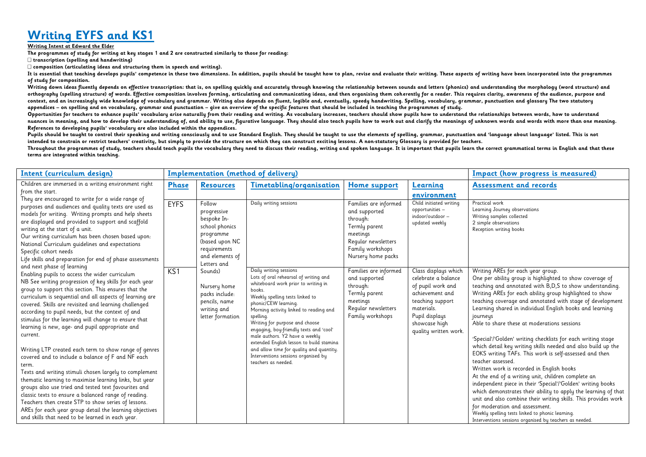## **Writing EYFS and KS1**

#### **Writing Intent at Edward the Elder**

**The programmes of study for writing at key stages 1 and 2 are constructed similarly to those for reading:** 

**transcription (spelling and handwriting)** 

**composition (articulating ideas and structuring them in speech and writing).** 

It is essential that teaching develops pupils' competence in these two dimensions. In addition, pupils should be taught how to plan, revise and evaluate their writing. These aspects of writing have been incorporated into t **of study for composition.** 

Writing down ideas fluently depends on effective transcription: that is, on spelling quickly and accurately through knowing the relationship between sounds and letters (phonics) and understanding the morphology (word struc orthography (spelling structure) of words. Effective composition involves forming, articulating and communicating ideas, and then organising them coherently for a reader. This requires clarity, awareness of the audience, p context, and an increasingly wide knowledge of vocabulary and grammar. Writing also depends on fluent, legible and, eventually, speedy handwriting. Spelling, vocabulary, grammar, punctuation and glossary The two statutory **appendices – on spelling and on vocabulary, grammar and punctuation – give an overview of the specific features that should be included in teaching the programmes of study.** 

Opportunities for teachers to enhance pupils' vocabulary arise naturally from their reading and writing. As vocabulary increases, teachers should show pupils how to understand the relationships between words, how to unders nuances in meaning, and how to develop their understanding of, and ability to use, figurative language. They should also teach pupils how to work out and clarify the meanings of unknown words and words with more than one m **References to developing pupils' vocabulary are also included within the appendices.** 

Pupils should be taught to control their speaking and writing consciously and to use Standard English. They should be taught to use the elements of spelling, grammar, punctuation and 'language about language' listed. This **intended to constrain or restrict teachers' creativity, but simply to provide the structure on which they can construct exciting lessons. A non-statutory Glossary is provided for teachers.** 

Throughout the programmes of study, teachers should teach pupils the vocabulary they need to discuss their reading, writing and spoken language. It is important that pupils learn the correct grammatical terms in English an **terms are integrated within teaching.** 

| Intent (curriculum design)                                                                                                                                                                                                                                                                                                                                                                                                                                                                                                                                                                                                                                                                                                                                                                                                                                                                                                                                                                        | Implementation (method of delivery) |                                                                                                                                         |                                                                                                                                                                                                                                                                                                                                                                                                                                                                                                         |                                                                                                                                                  |                                                                                                                                                                                   | Impact (how progress is measured)                                                                                                                                                                                                                                                                                                                                                                                                                                                                                                                                                                                                                                                                                                                                                                                                                                                                                                                                                                                                                                              |
|---------------------------------------------------------------------------------------------------------------------------------------------------------------------------------------------------------------------------------------------------------------------------------------------------------------------------------------------------------------------------------------------------------------------------------------------------------------------------------------------------------------------------------------------------------------------------------------------------------------------------------------------------------------------------------------------------------------------------------------------------------------------------------------------------------------------------------------------------------------------------------------------------------------------------------------------------------------------------------------------------|-------------------------------------|-----------------------------------------------------------------------------------------------------------------------------------------|---------------------------------------------------------------------------------------------------------------------------------------------------------------------------------------------------------------------------------------------------------------------------------------------------------------------------------------------------------------------------------------------------------------------------------------------------------------------------------------------------------|--------------------------------------------------------------------------------------------------------------------------------------------------|-----------------------------------------------------------------------------------------------------------------------------------------------------------------------------------|--------------------------------------------------------------------------------------------------------------------------------------------------------------------------------------------------------------------------------------------------------------------------------------------------------------------------------------------------------------------------------------------------------------------------------------------------------------------------------------------------------------------------------------------------------------------------------------------------------------------------------------------------------------------------------------------------------------------------------------------------------------------------------------------------------------------------------------------------------------------------------------------------------------------------------------------------------------------------------------------------------------------------------------------------------------------------------|
| Children are immersed in a writing environment right<br>from the start.                                                                                                                                                                                                                                                                                                                                                                                                                                                                                                                                                                                                                                                                                                                                                                                                                                                                                                                           | <b>Phase</b>                        | Resources                                                                                                                               | Timetabling/organisation                                                                                                                                                                                                                                                                                                                                                                                                                                                                                | <b>Home support</b>                                                                                                                              | Learning<br>environment                                                                                                                                                           | <b>Assessment and records</b>                                                                                                                                                                                                                                                                                                                                                                                                                                                                                                                                                                                                                                                                                                                                                                                                                                                                                                                                                                                                                                                  |
| They are encouraged to write for a wide range of<br>purposes and audiences and quality texts are used as<br>models for writing. Writing prompts and help sheets<br>are displayed and provided to support and scaffold<br>writing at the start of a unit.<br>Our writing curriculum has been chosen based upon:<br>National Curriculum guidelines and expectations<br>Specific cohort needs<br>Life skills and preparation for end of phase assessments<br>and next phase of learning                                                                                                                                                                                                                                                                                                                                                                                                                                                                                                              | <b>EYFS</b>                         | Follow<br>progressive<br>bespoke In-<br>school phonics<br>programme<br>(based upon NC<br>requirements<br>and elements of<br>Letters and | Daily writing sessions                                                                                                                                                                                                                                                                                                                                                                                                                                                                                  | Families are informed<br>and supported<br>through:<br>Termly parent<br>meetings<br>Regular newsletters<br>Family workshops<br>Nursery home packs | Child initiated writing<br>opportunities -<br>indoor/outdoor-<br>updated weekly                                                                                                   | Practical work<br>Learning Journey observations<br>Writing samples collected<br>2 simple observations<br>Reception writing books                                                                                                                                                                                                                                                                                                                                                                                                                                                                                                                                                                                                                                                                                                                                                                                                                                                                                                                                               |
| Enabling pupils to access the wider curriculum<br>NB See writing progression of key skills for each year<br>group to support this section. This ensures that the<br>curriculum is sequential and all aspects of learning are<br>covered. Skills are revisited and learning challenged<br>according to pupil needs, but the context of and<br>stimulus for the learning will change to ensure that<br>learning is new, age- and pupil appropriate and<br>current.<br>Writing LTP created each term to show range of genres<br>covered and to include a balance of F and NF each<br>term.<br>Texts and writing stimuli chosen largely to complement<br>thematic learning to maximise learning links, but year<br>groups also use tried and tested text favourites and<br>classic texts to ensure a balanced range of reading.<br>Teachers then create STP to show series of lessons.<br>AREs for each year group detail the learning objectives<br>and skills that need to be learned in each year. | KS1                                 | Sounds)<br>Nursery home<br>packs include:<br>pencils, name<br>writing and<br>letter formation                                           | Daily writing sessions<br>Lots of oral rehearsal of writing and<br>whiteboard work prior to writing in<br>books.<br>Weekly spelling tests linked to<br>phonic/CEW learning.<br>Morning activity linked to reading and<br>spelling.<br>Writing for purpose and choose<br>engaging, boy-friendly texts and 'cool'<br>male authors. Y2 have a weekly<br>extended English lesson to build stamina<br>and allow time for quality and quantity.<br>Interventions sessions organised by<br>teachers as needed. | Families are informed<br>and supported<br>through:<br>Termly parent<br>meetings<br>Regular newsletters<br>Family workshops                       | Class displays which<br>celebrate a balance<br>of pupil work and<br>achievement and<br>teaching support<br>materials.<br>Pupil displays<br>showcase high<br>quality written work. | Writing AREs for each year group.<br>One per ability group is highlighted to show coverage of<br>teaching and annotated with B,D,S to show understanding.<br>Writing AREs for each ability group highlighted to show<br>teaching coverage and annotated with stage of development<br>Learning shared in individual English books and learning<br>journeys<br>Able to share these at moderations sessions<br>'Special'/'Golden' writing checklists for each writing stage<br>which detail key writing skills needed and also build up the<br>EOKS writing TAFs. This work is self-assessed and then<br>teacher assessed.<br>Written work is recorded in English books<br>At the end of a writing unit, children complete an<br>independent piece in their 'Special'/'Golden' writing books<br>which demonstrates their ability to apply the learning of that<br>unit and also combine their writing skills. This provides work<br>for moderation and assessment.<br>Weekly spelling tests linked to phonic learning.<br>Interventions sessions organised by teachers as needed. |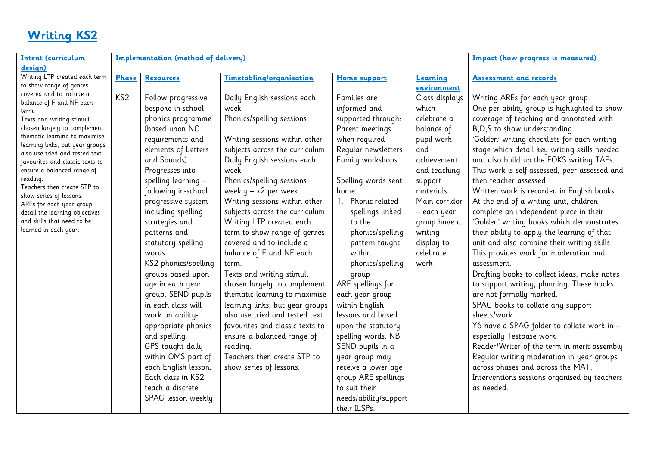# **Writing KS2**

| <b>Intent (curriculum</b>                                         |                 | Implementation (method of delivery) | Impact (how progress is measured) |                                       |                |                                               |
|-------------------------------------------------------------------|-----------------|-------------------------------------|-----------------------------------|---------------------------------------|----------------|-----------------------------------------------|
| design)                                                           |                 |                                     |                                   |                                       |                |                                               |
| Writing LTP created each term                                     | Phase           | Resources                           | <b>Timetabling/organisation</b>   | <b>Home support</b>                   | Learning       | <b>Assessment and records</b>                 |
| to show range of genres<br>covered and to include a               |                 |                                     |                                   |                                       | environment    |                                               |
| balance of F and NF each                                          | KS <sub>2</sub> | Follow progressive                  | Daily English sessions each       | Families are                          | Class displays | Writing AREs for each year group.             |
| term.                                                             |                 | bespoke in-school                   | week                              | informed and                          | which          | One per ability group is highlighted to show  |
| Texts and writing stimuli                                         |                 | phonics programme                   | Phonics/spelling sessions         | supported through:                    | celebrate a    | coverage of teaching and annotated with       |
| chosen largely to complement                                      |                 | (based upon NC                      |                                   | Parent meetings                       | balance of     | B, D, S to show understanding.                |
| thematic learning to maximise                                     |                 | requirements and                    | Writing sessions within other     | when required                         | pupil work     | 'Golden' writing checklists for each writing  |
| learning links, but year groups<br>also use tried and tested text |                 | elements of Letters                 | subjects across the curriculum    | Regular newsletters                   | and            | stage which detail key writing skills needed  |
| favourites and classic texts to                                   |                 | and Sounds)                         | Daily English sessions each       | Family workshops                      | achievement    | and also build up the EOKS writing TAFs.      |
| ensure a balanced range of                                        |                 | Progresses into                     | week                              |                                       | and teaching   | This work is self-assessed, peer assessed and |
| reading.                                                          |                 | spelling learning -                 | Phonics/spelling sessions         | Spelling words sent                   | support        | then teacher assessed.                        |
| Teachers then create STP to                                       |                 | following in-school                 | weekly - x2 per week.             | home:                                 | materials.     | Written work is recorded in English books     |
| show series of lessons.<br>AREs for each year group               |                 | progressive system                  | Writing sessions within other     | Phonic-related<br>$1_{\cdot}$         | Main corridor  | At the end of a writing unit, children        |
| detail the learning objectives                                    |                 | including spelling                  | subjects across the curriculum    | spellings linked                      | — each year    | complete an independent piece in their        |
| and skills that need to be                                        |                 | strategies and                      | Writing LTP created each          | to the                                | group have a   | 'Golden' writing books which demonstrates     |
| learned in each year.                                             |                 | patterns and                        | term to show range of genres      | phonics/spelling                      | writing        | their ability to apply the learning of that   |
|                                                                   |                 | statutory spelling                  | covered and to include a          | pattern taught                        | display to     | unit and also combine their writing skills.   |
|                                                                   |                 | words.                              | balance of F and NF each          | within                                | celebrate      | This provides work for moderation and         |
|                                                                   |                 | KS2 phonics/spelling                | term.                             | phonics/spelling                      | work           | assessment.                                   |
|                                                                   |                 | groups based upon                   | Texts and writing stimuli         | group                                 |                | Drafting books to collect ideas, make notes   |
|                                                                   |                 | age in each year                    | chosen largely to complement      | ARE spellings for                     |                | to support writing, planning. These books     |
|                                                                   |                 | group. SEND pupils                  | thematic learning to maximise     | each year group -                     |                | are not formally marked.                      |
|                                                                   |                 | in each class will                  | learning links, but year groups   | within English                        |                | SPAG books to collate any support             |
|                                                                   |                 | work on ability-                    | also use tried and tested text    | lessons and based                     |                | sheets/work                                   |
|                                                                   |                 | appropriate phonics                 | favourites and classic texts to   | upon the statutory                    |                | Y6 have a SPAG folder to collate work in -    |
|                                                                   |                 | and spelling.                       | ensure a balanced range of        | spelling words. NB                    |                | especially Testbase work                      |
|                                                                   |                 | GPS taught daily                    | reading.                          | SEND pupils in a                      |                | Reader/Writer of the term in merit assembly   |
|                                                                   |                 | within OMS part of                  | Teachers then create STP to       | year group may                        |                | Regular writing moderation in year groups     |
|                                                                   |                 | each English lesson.                | show series of lessons.           | receive a lower age                   |                | across phases and across the MAT.             |
|                                                                   |                 | Each class in KS2                   |                                   | group ARE spellings                   |                | Interventions sessions organised by teachers  |
|                                                                   |                 | teach a discrete                    |                                   | to suit their                         |                | as needed.                                    |
|                                                                   |                 | SPAG lesson weekly.                 |                                   | needs/ability/support<br>their ILSPs. |                |                                               |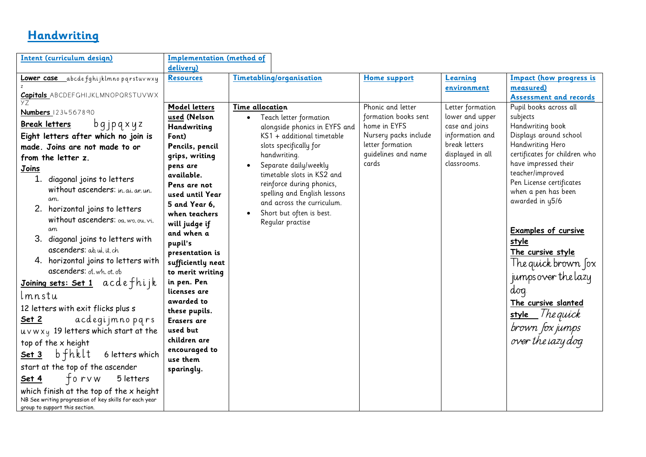# **Handwriting**

| Intent (curriculum design)                                                               | <b>Implementation (method of</b> |                               |                       |                  |                                        |
|------------------------------------------------------------------------------------------|----------------------------------|-------------------------------|-----------------------|------------------|----------------------------------------|
|                                                                                          | delivery)                        |                               |                       |                  |                                        |
| Lower case abcdefqhijklmnopqrstuvwxy                                                     | Resources                        | Timetabling/organisation      | <b>Home support</b>   | Learning         | <b>Impact (how progress is</b>         |
|                                                                                          |                                  |                               |                       | environment      | measured)                              |
| <b>Capitals</b> ABCDEFGHIJKLMNOPQRSTUVWX                                                 |                                  |                               |                       |                  | <b>Assessment and records</b>          |
| Numbers 1234567890                                                                       | <b>Model letters</b>             | Time allocation               | Phonic and letter     | Letter formation | Pupil books across all                 |
|                                                                                          | used (Nelson                     | Teach letter formation        | formation books sent  | lower and upper  | subjects                               |
| $bg$ jpqxyz<br><b>Break letters</b>                                                      | Handwriting                      | alongside phonics in EYFS and | home in EYFS          | case and joins   | Handwriting book                       |
| Eight letters after which no join is                                                     | Font)                            | KS1 + additional timetable    | Nursery packs include | information and  | Displays around school                 |
| made. Joins are not made to or                                                           | Pencils, pencil                  | slots specifically for        | letter formation      | break letters    | Handwriting Hero                       |
| from the letter z.                                                                       | qrips, writing                   | handwriting.                  | quidelines and name   | displayed in all | certificates for children who          |
| Joins                                                                                    | pens are                         | Separate daily/weekly         | cards                 | classrooms.      | have impressed their                   |
| diagonal joins to letters                                                                | available.                       | timetable slots in KS2 and    |                       |                  | teacher/improved                       |
| without ascenders: in, ai, ar, un,                                                       | Pens are not                     | reinforce during phonics,     |                       |                  | Pen License certificates               |
| am.                                                                                      | used until Year                  | spelling and English lessons  |                       |                  | when a pen has been<br>awarded in y5/6 |
| 2. horizontal joins to letters                                                           | 5 and Year 6,                    | and across the curriculum.    |                       |                  |                                        |
| without ascenders: oa, wo, ou, vi,                                                       | when teachers                    | Short but often is best.      |                       |                  |                                        |
| am                                                                                       | will judge if                    | Regular practise              |                       |                  | <b>Examples of cursive</b>             |
| 3. diagonal joins to letters with                                                        | and when a                       |                               |                       |                  | style                                  |
| ascenders: ab, ul, it, ch                                                                | pupil's                          |                               |                       |                  |                                        |
| 4. horizontal joins to letters with                                                      | presentation is                  |                               |                       |                  | The cursive style                      |
| ascenders: ol, wh, ot, ob                                                                | sufficiently neat                |                               |                       |                  | The quick brown $\int$ ox              |
|                                                                                          | to merit writing<br>in pen. Pen  |                               |                       |                  | jumps over the lazy                    |
| Joining sets: Set 1 acdefhijk                                                            | licenses are                     |                               |                       |                  | dog.                                   |
| lmnstu                                                                                   | awarded to                       |                               |                       |                  | The cursive slanted                    |
| 12 letters with exit flicks plus s                                                       | these pupils.                    |                               |                       |                  |                                        |
| acdegijmno pars<br><b>Set 2</b>                                                          | <b>Erasers</b> are               |                               |                       |                  | style The quick                        |
| $u \vee w \times y$ 19 letters which start at the                                        | used but                         |                               |                       |                  | brown fox jumps                        |
| top of the x height                                                                      | children are                     |                               |                       |                  | over the lazy dog.                     |
| set 3 bfhklt<br>6 letters which                                                          | encouraged to                    |                               |                       |                  |                                        |
| start at the top of the ascender                                                         | use them                         |                               |                       |                  |                                        |
|                                                                                          | sparingly.                       |                               |                       |                  |                                        |
| forvw<br>5 letters<br><b>Set 4</b>                                                       |                                  |                               |                       |                  |                                        |
| which finish at the top of the x height                                                  |                                  |                               |                       |                  |                                        |
| NB See writing progression of key skills for each year<br>group to support this section. |                                  |                               |                       |                  |                                        |